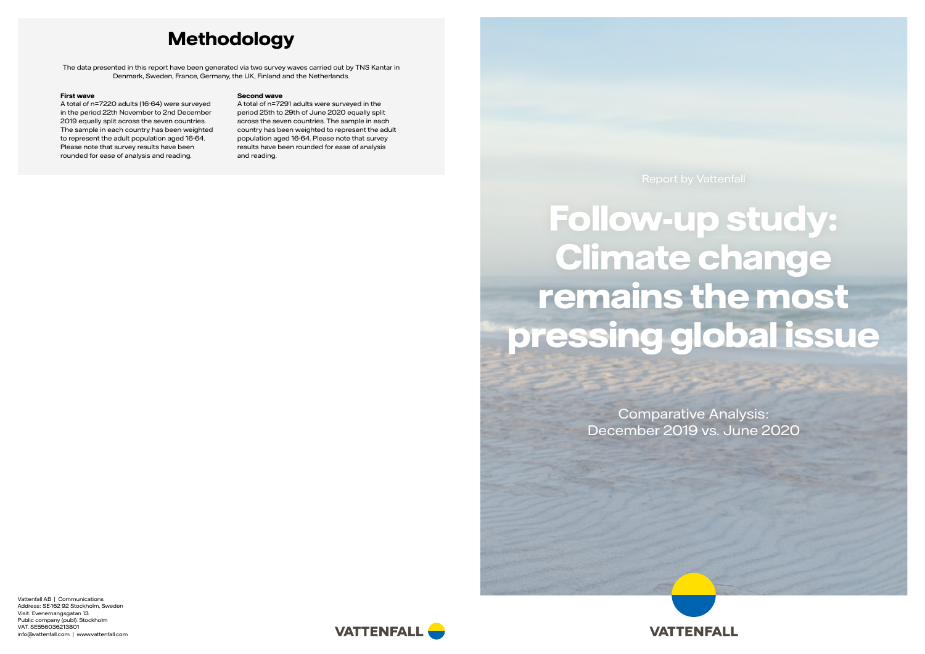Vattenfall AB | Communications Address: SE-162 92 Stockholm, Sweden Visit: Evenemangsgatan 13 Public company (publ). Stockholm VAT. SE556036213801 info@vattenfall.com | www.vattenfall.com





# **Follow-up study: Climate change remains the most pressing global issue**

Comparative Analysis: December 2019 vs. June 2020

## **Methodology**

The data presented in this report have been generated via two survey waves carried out by TNS Kantar in Denmark, Sweden, France, Germany, the UK, Finland and the Netherlands.

#### **First wave**

A total of n=7220 adults (16-64) were surveyed in the period 22th November to 2nd December 2019 equally split across the seven countries. The sample in each country has been weighted to represent the adult population aged 16-64. Please note that survey results have been rounded for ease of analysis and reading.

#### **Second wave**

A total of n=7291 adults were surveyed in the period 25th to 29th of June 2020 equally split across the seven countries. The sample in each country has been weighted to represent the adult population aged 16-64. Please note that survey results have been rounded for ease of analysis and reading.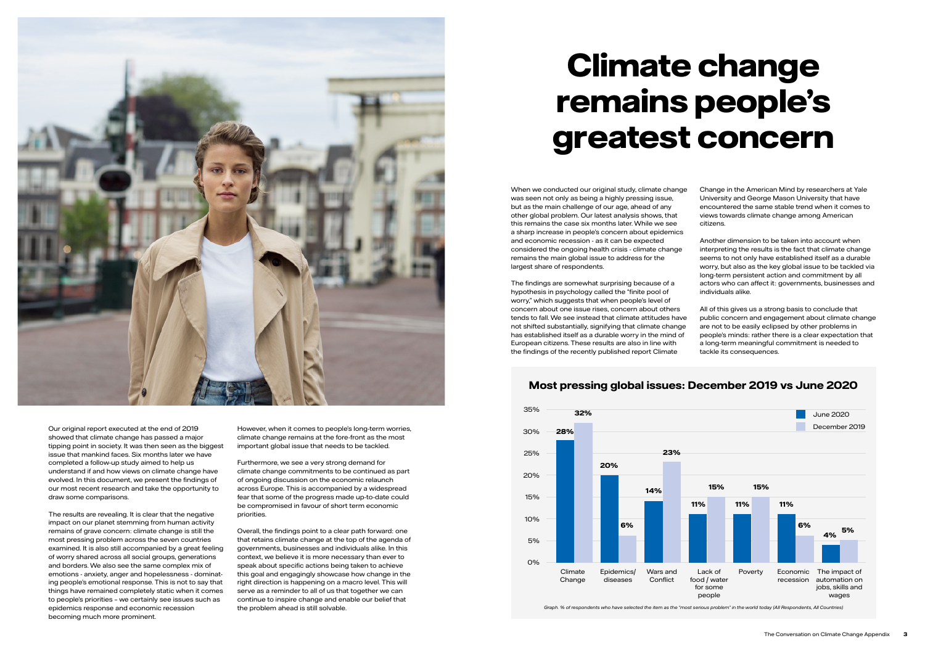When we conducted our original study, climate change was seen not only as being a highly pressing issue, but as the main challenge of our age, ahead of any other global problem. Our latest analysis shows, that this remains the case six months later. While we see a sharp increase in people's concern about epidemics and economic recession - as it can be expected considered the ongoing health crisis - climate change remains the main global issue to address for the largest share of respondents.

The findings are somewhat surprising because of a hypothesis in psychology called the "finite pool of worry," which suggests that when people's level of concern about one issue rises, concern about others tends to fall. We see instead that climate attitudes have not shifted substantially, signifying that climate change has established itself as a durable worry in the mind of European citizens. These results are also in line with the findings of the recently published report Climate

Change in the American Mind by researchers at Yale University and George Mason University that have encountered the same stable trend when it comes to views towards climate change among American citizens.

Another dimension to be taken into account when interpreting the results is the fact that climate change seems to not only have established itself as a durable worry, but also as the key global issue to be tackled via long-term persistent action and commitment by all actors who can affect it: governments, businesses and individuals alike.

All of this gives us a strong basis to conclude that public concern and engagement about climate change are not to be easily eclipsed by other problems in people's minds: rather there is a clear expectation that a long-term meaningful commitment is needed to tackle its consequences.



Our original report executed at the end of 2019 showed that climate change has passed a major tipping point in society. It was then seen as the biggest issue that mankind faces. Six months later we have completed a follow-up study aimed to help us understand if and how views on climate change have evolved. In this document, we present the findings of our most recent research and take the opportunity to draw some comparisons.

The results are revealing. It is clear that the negative impact on our planet stemming from human activity remains of grave concern: climate change is still the most pressing problem across the seven countries examined. It is also still accompanied by a great feeling of worry shared across all social groups, generations and borders. We also see the same complex mix of emotions - anxiety, anger and hopelessness - dominating people's emotional response. This is not to say that things have remained completely static when it comes to people's priorities – we certainly see issues such as epidemics response and economic recession becoming much more prominent.

However, when it comes to people's long-term worries, climate change remains at the fore-front as the most important global issue that needs to be tackled.

Furthermore, we see a very strong demand for climate change commitments to be continued as part of ongoing discussion on the economic relaunch across Europe. This is accompanied by a widespread fear that some of the progress made up-to-date could be compromised in favour of short term economic priorities.

Overall, the findings point to a clear path forward: one that retains climate change at the top of the agenda of governments, businesses and individuals alike. In this context, we believe it is more necessary than ever to speak about specific actions being taken to achieve this goal and engagingly showcase how change in the right direction is happening on a macro level. This will serve as a reminder to all of us that together we can continue to inspire change and enable our belief that the problem ahead is still solvable.

# **Climate change remains people's greatest concern**

*Graph. % of respondents who have selected the item as the "most serious problem" in the world today (All Respondents, All Countries)*

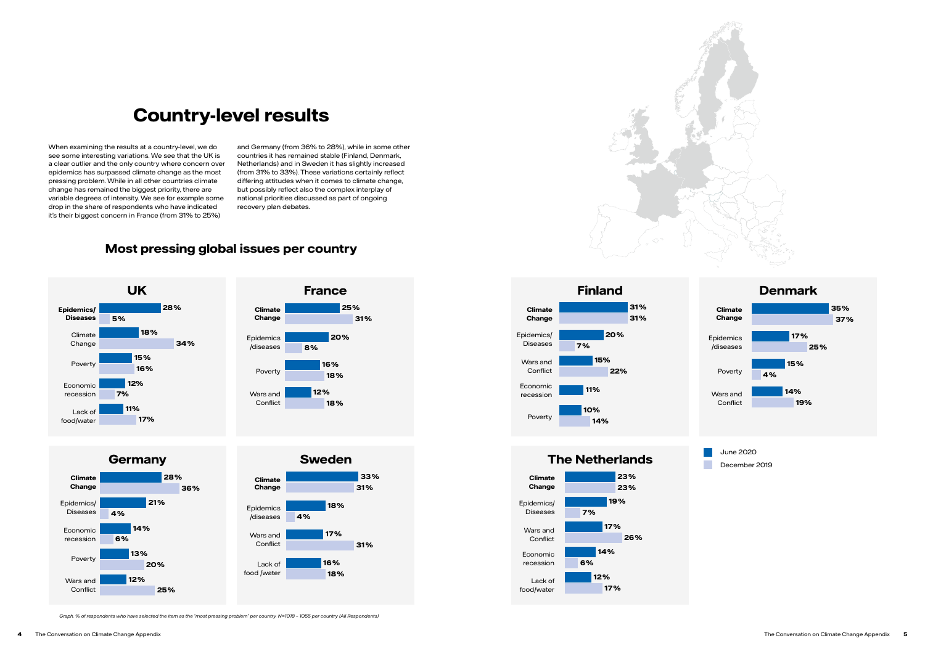

When examining the results at a country-level, we do see some interesting variations. We see that the UK is a clear outlier and the only country where concern over epidemics has surpassed climate change as the most pressing problem. While in all other countries climate change has remained the biggest priority, there are variable degrees of intensity. We see for example some drop in the share of respondents who have indicated it's their biggest concern in France (from 31% to 25%)

and Germany (from 36% to 28%), while in some other countries it has remained stable (Finland, Denmark, Netherlands) and in Sweden it has slightly increased (from 31% to 33%). These variations certainly reflect differing attitudes when it comes to climate change, but possibly reflect also the complex interplay of national priorities discussed as part of ongoing recovery plan debates.

*Graph. % of respondents who have selected the item as the "most pressing problem" per country. N=1018 – 1055 per country (All Respondents)*

## **Country-level results**

### **Most pressing global issues per country**

June 2020 December 2019













**Finland 28% 25% 31% 35% 20% 7% 15% 22% 11% 10% 14%** Epidemics/ Diseases **Climate Change** Economic recession Wars and Conflict Poverty

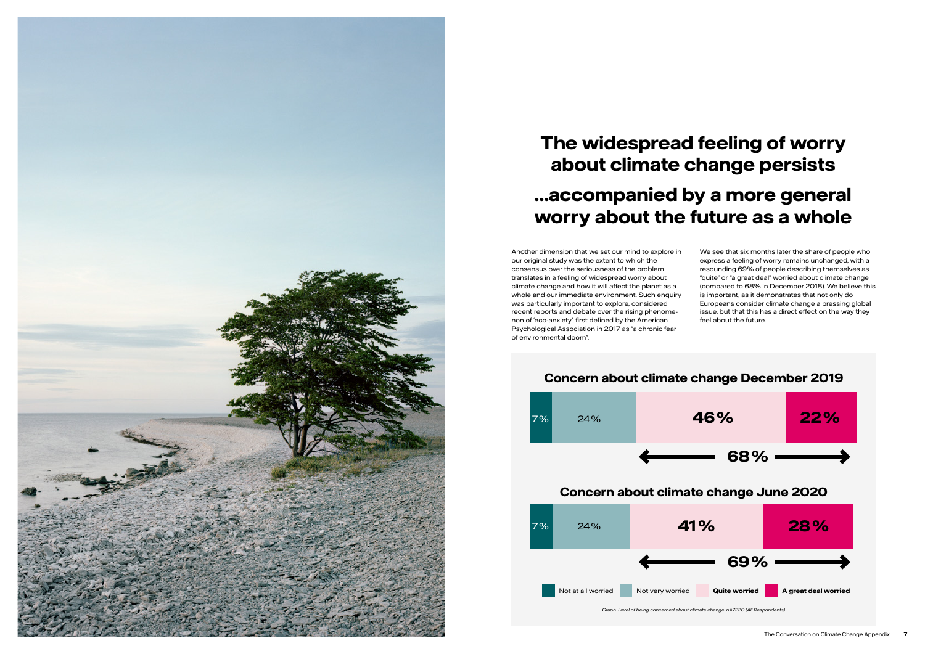Another dimension that we set our mind to explore in our original study was the extent to which the consensus over the seriousness of the problem translates in a feeling of widespread worry about climate change and how it will affect the planet as a whole and our immediate environment. Such enquiry was particularly important to explore, considered recent reports and debate over the rising phenomenon of 'eco-anxiety', first defined by the American Psychological Association in 2017 as "a chronic fear of environmental doom".

We see that six months later the share of people who express a feeling of worry remains unchanged, with a resounding 69% of people describing themselves as "quite" or "a great deal" worried about climate change (compared to 68% in December 2018). We believe this is important, as it demonstrates that not only do Europeans consider climate change a pressing global issue, but that this has a direct effect on the way they feel about the future.







## **The widespread feeling of worry about climate change persists …accompanied by a more general worry about the future as a whole**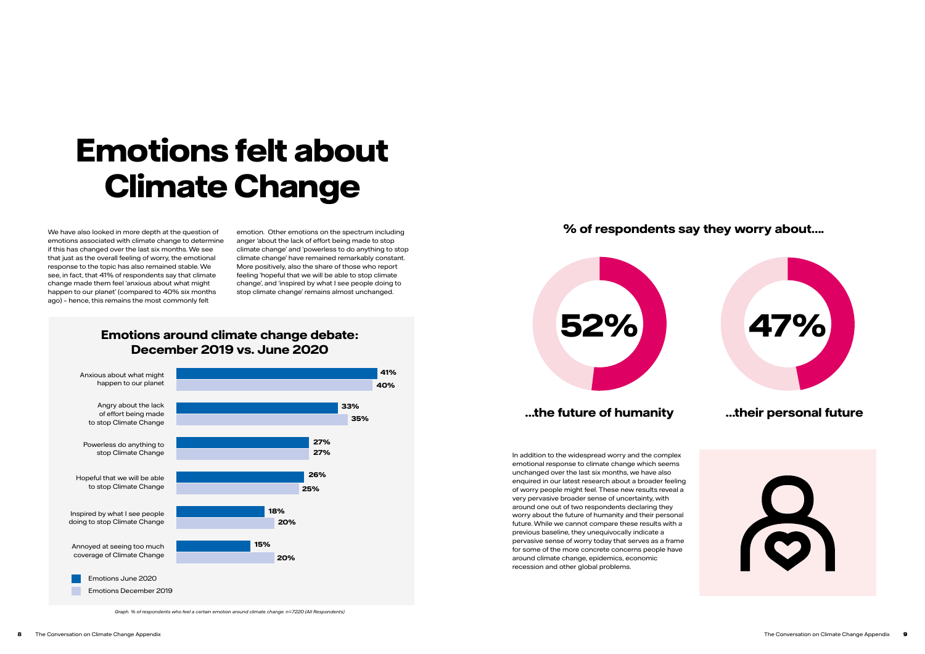### **Emotions around climate change debate: December 2019 vs. June 2020**

*Graph. % of respondents who feel a certain emotion around climate change. n=7220 (All Respondents)*

We have also looked in more depth at the question of emotions associated with climate change to determine if this has changed over the last six months. We see that just as the overall feeling of worry, the emotional response to the topic has also remained stable. We see, in fact, that 41% of respondents say that climate change made them feel 'anxious about what might happen to our planet' (compared to 40% six months ago) – hence, this remains the most commonly felt

emotion. Other emotions on the spectrum including anger 'about the lack of effort being made to stop climate change' and 'powerless to do anything to stop climate change' have remained remarkably constant. More positively, also the share of those who report feeling 'hopeful that we will be able to stop climate change', and 'inspired by what I see people doing to stop climate change' remains almost unchanged.



## **Emotions felt about Climate Change**

In addition to the widespread worry and the complex emotional response to climate change which seems unchanged over the last six months, we have also enquired in our latest research about a broader feeling of worry people might feel. These new results reveal a very pervasive broader sense of uncertainty, with around one out of two respondents declaring they worry about the future of humanity and their personal future. While we cannot compare these results with a previous baseline, they unequivocally indicate a pervasive sense of worry today that serves as a frame for some of the more concrete concerns people have around climate change, epidemics, economic recession and other global problems.





### **% of respondents say they worry about….**

### **…the future of humanity …their personal future**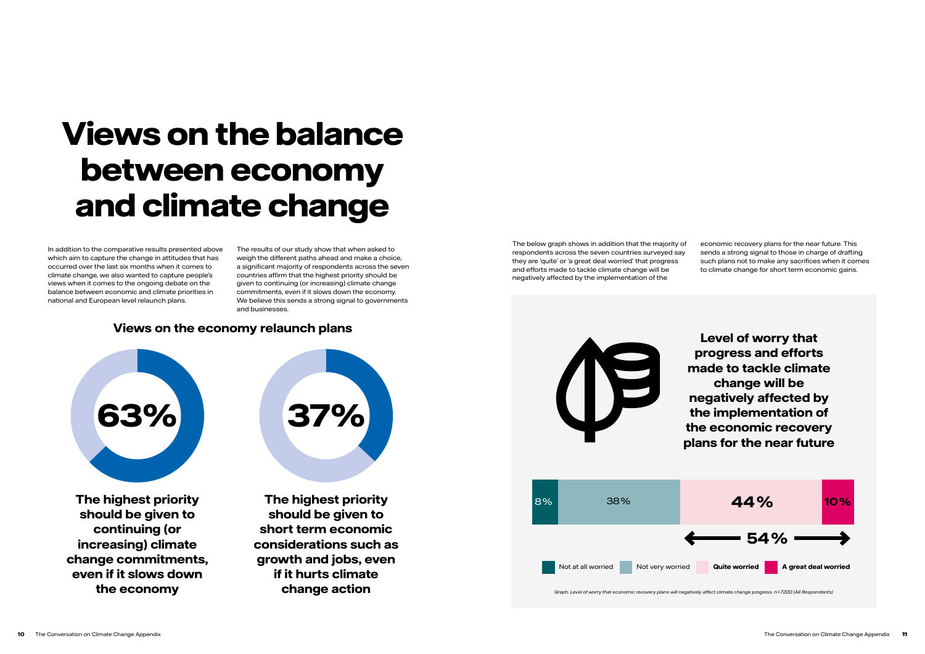In addition to the comparative results presented above which aim to capture the change in attitudes that has occurred over the last six months when it comes to climate change, we also wanted to capture people's views when it comes to the ongoing debate on the balance between economic and climate priorities in national and European level relaunch plans.

The results of our study show that when asked to weigh the different paths ahead and make a choice, a significant majority of respondents across the seven countries affirm that the highest priority should be given to continuing (or increasing) climate change commitments, even if it slows down the economy. We believe this sends a strong signal to governments and businesses.

# **Views on the balance between economy and climate change**

The below graph shows in addition that the majority of respondents across the seven countries surveyed say they are 'quite' or 'a great deal worried' that progress and efforts made to tackle climate change will be negatively affected by the implementation of the



economic recovery plans for the near future. This sends a strong signal to those in charge of drafting such plans not to make any sacrifices when it comes to climate change for short term economic gains.

### **Views on the economy relaunch plans**

**The highest priority should be given to continuing (or increasing) climate change commitments, even if it slows down the economy**

**The highest priority should be given to short term economic considerations such as growth and jobs, even if it hurts climate change action**



*Graph. Level of worry that economic recovery plans will negatively affect climate change progress. n=7220 (All Respondents)*



**Level of worry that progress and efforts made to tackle climate change will be negatively affected by the implementation of the economic recovery plans for the near future**